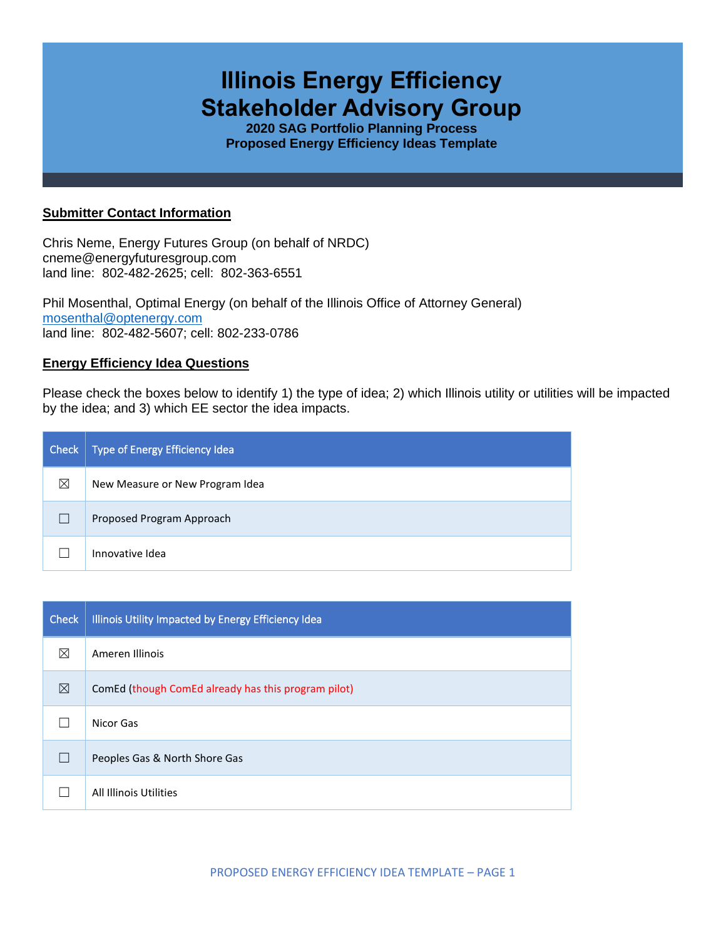# **Illinois Energy Efficiency Stakeholder Advisory Group**

**2020 SAG Portfolio Planning Process Proposed Energy Efficiency Ideas Template**

## **Submitter Contact Information**

Chris Neme, Energy Futures Group (on behalf of NRDC) cneme@energyfuturesgroup.com land line: 802-482-2625; cell: 802-363-6551

Phil Mosenthal, Optimal Energy (on behalf of the Illinois Office of Attorney General) [mosenthal@optenergy.com](mailto:mosenthal@optenergy.com) land line: 802-482-5607; cell: 802-233-0786

## **Energy Efficiency Idea Questions**

Please check the boxes below to identify 1) the type of idea; 2) which Illinois utility or utilities will be impacted by the idea; and 3) which EE sector the idea impacts.

| Check | Type of Energy Efficiency Idea  |
|-------|---------------------------------|
| ⊠     | New Measure or New Program Idea |
|       | Proposed Program Approach       |
|       | Innovative Idea                 |

| <b>Check</b> | Illinois Utility Impacted by Energy Efficiency Idea |
|--------------|-----------------------------------------------------|
| ⊠            | Ameren Illinois                                     |
| ⊠            | ComEd (though ComEd already has this program pilot) |
|              | Nicor Gas                                           |
|              | Peoples Gas & North Shore Gas                       |
|              | All Illinois Utilities                              |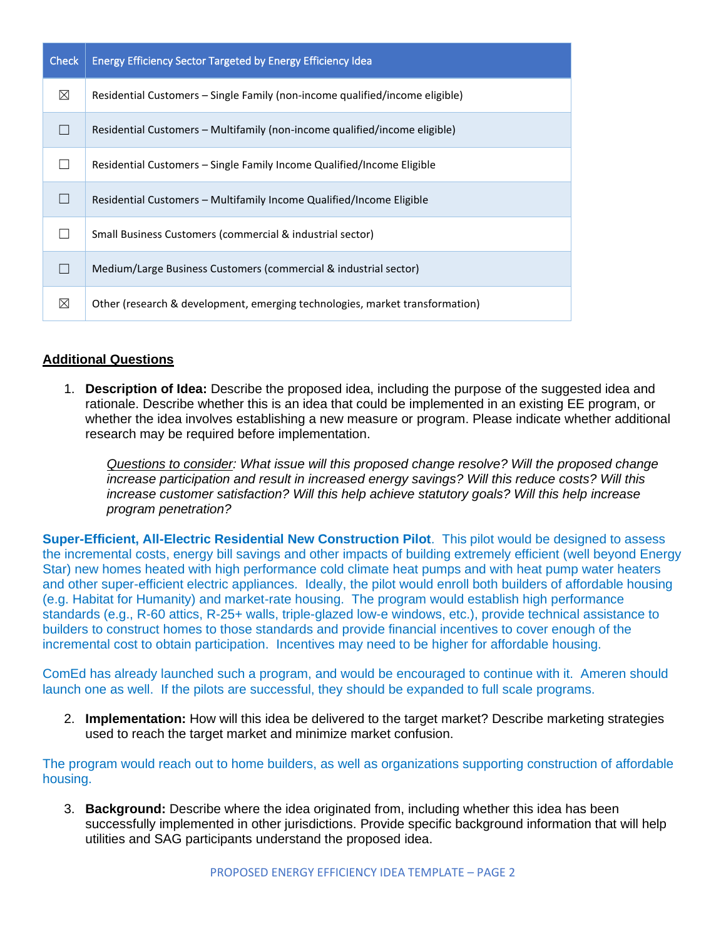| <b>Check</b> | <b>Energy Efficiency Sector Targeted by Energy Efficiency Idea</b>           |
|--------------|------------------------------------------------------------------------------|
| ⊠            | Residential Customers – Single Family (non-income qualified/income eligible) |
|              | Residential Customers – Multifamily (non-income qualified/income eligible)   |
|              | Residential Customers – Single Family Income Qualified/Income Eligible       |
|              | Residential Customers – Multifamily Income Qualified/Income Eligible         |
|              | Small Business Customers (commercial & industrial sector)                    |
|              | Medium/Large Business Customers (commercial & industrial sector)             |
| ⊠            | Other (research & development, emerging technologies, market transformation) |

## **Additional Questions**

1. **Description of Idea:** Describe the proposed idea, including the purpose of the suggested idea and rationale. Describe whether this is an idea that could be implemented in an existing EE program, or whether the idea involves establishing a new measure or program. Please indicate whether additional research may be required before implementation.

*Questions to consider: What issue will this proposed change resolve? Will the proposed change increase participation and result in increased energy savings? Will this reduce costs? Will this increase customer satisfaction? Will this help achieve statutory goals? Will this help increase program penetration?* 

**Super-Efficient, All-Electric Residential New Construction Pilot**. This pilot would be designed to assess the incremental costs, energy bill savings and other impacts of building extremely efficient (well beyond Energy Star) new homes heated with high performance cold climate heat pumps and with heat pump water heaters and other super-efficient electric appliances. Ideally, the pilot would enroll both builders of affordable housing (e.g. Habitat for Humanity) and market-rate housing. The program would establish high performance standards (e.g., R-60 attics, R-25+ walls, triple-glazed low-e windows, etc.), provide technical assistance to builders to construct homes to those standards and provide financial incentives to cover enough of the incremental cost to obtain participation. Incentives may need to be higher for affordable housing.

ComEd has already launched such a program, and would be encouraged to continue with it. Ameren should launch one as well. If the pilots are successful, they should be expanded to full scale programs.

2. **Implementation:** How will this idea be delivered to the target market? Describe marketing strategies used to reach the target market and minimize market confusion.

The program would reach out to home builders, as well as organizations supporting construction of affordable housing.

3. **Background:** Describe where the idea originated from, including whether this idea has been successfully implemented in other jurisdictions. Provide specific background information that will help utilities and SAG participants understand the proposed idea.